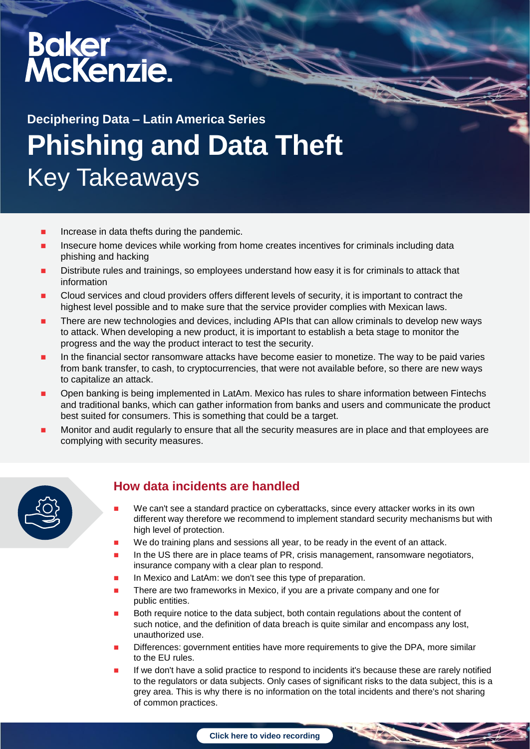# Baker<br>McKenzie.

# **Phishing and Data Theft**  Key Takeaways **Deciphering Data – Latin America Series**

- Increase in data thefts during the pandemic.
- Insecure home devices while working from home creates incentives for criminals including data phishing and hacking
- Distribute rules and trainings, so employees understand how easy it is for criminals to attack that information
- Cloud services and cloud providers offers different levels of security, it is important to contract the highest level possible and to make sure that the service provider complies with Mexican laws.
- There are new technologies and devices, including APIs that can allow criminals to develop new ways to attack. When developing a new product, it is important to establish a beta stage to monitor the progress and the way the product interact to test the security.
- In the financial sector ransomware attacks have become easier to monetize. The way to be paid varies from bank transfer, to cash, to cryptocurrencies, that were not available before, so there are new ways to capitalize an attack.
- Open banking is being implemented in LatAm. Mexico has rules to share information between Fintechs and traditional banks, which can gather information from banks and users and communicate the product best suited for consumers. This is something that could be a target.
- Monitor and audit regularly to ensure that all the security measures are in place and that employees are complying with security measures.



### **How data incidents are handled**

- We can't see a standard practice on cyberattacks, since every attacker works in its own different way therefore we recommend to implement standard security mechanisms but with high level of protection.
- We do training plans and sessions all year, to be ready in the event of an attack.
- In the US there are in place teams of PR, crisis management, ransomware negotiators, insurance company with a clear plan to respond.
- In Mexico and LatAm: we don't see this type of preparation.
- There are two frameworks in Mexico, if you are a private company and one for public entities.
- Both require notice to the data subject, both contain regulations about the content of such notice, and the definition of data breach is quite similar and encompass any lost, unauthorized use.
- Differences: government entities have more requirements to give the DPA, more similar to the EU rules.
- If we don't have a solid practice to respond to incidents it's because these are rarely notified to the regulators or data subjects. Only cases of significant risks to the data subject, this is a grey area. This is why there is no information on the total incidents and there's not sharing of common practices.

**[Click here to video recording](https://video.bakermckenzie.com/embed?id=f5c87a91-d7ba-423f-8025-895050dd4040)**